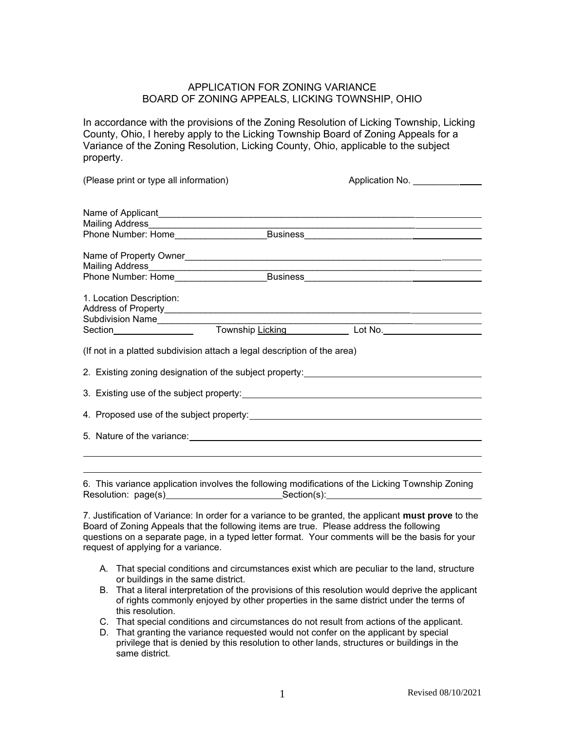## APPLICATION FOR ZONING VARIANCE BOARD OF ZONING APPEALS, LICKING TOWNSHIP, OHIO

In accordance with the provisions of the Zoning Resolution of Licking Township, Licking County, Ohio, I hereby apply to the Licking Township Board of Zoning Appeals for a Variance of the Zoning Resolution, Licking County, Ohio, applicable to the subject property.

| (Please print or type all information)                                           |  | Application No.                                                                                                       |  |  |
|----------------------------------------------------------------------------------|--|-----------------------------------------------------------------------------------------------------------------------|--|--|
|                                                                                  |  |                                                                                                                       |  |  |
|                                                                                  |  |                                                                                                                       |  |  |
|                                                                                  |  |                                                                                                                       |  |  |
|                                                                                  |  |                                                                                                                       |  |  |
| Mailing Address____________________________                                      |  | <u> 1990 - Paris Paris II, prima politik e postal de la prima política de la provincia de la prima política de la</u> |  |  |
|                                                                                  |  | Phone Number: Home_________________________Business_____________________________                                      |  |  |
| 1. Location Description:                                                         |  |                                                                                                                       |  |  |
|                                                                                  |  |                                                                                                                       |  |  |
|                                                                                  |  |                                                                                                                       |  |  |
|                                                                                  |  | Subdivision Name Township Licking Licking Lot No.                                                                     |  |  |
| (If not in a platted subdivision attach a legal description of the area)         |  |                                                                                                                       |  |  |
| 2. Existing zoning designation of the subject property:_________________________ |  |                                                                                                                       |  |  |
|                                                                                  |  |                                                                                                                       |  |  |
|                                                                                  |  |                                                                                                                       |  |  |
|                                                                                  |  |                                                                                                                       |  |  |
|                                                                                  |  |                                                                                                                       |  |  |
|                                                                                  |  |                                                                                                                       |  |  |
|                                                                                  |  |                                                                                                                       |  |  |

6. This variance application involves the following modifications of the Licking Township Zoning Resolution: page(s) Section(s):

7. Justification of Variance: In order for a variance to be granted, the applicant **must prove** to the Board of Zoning Appeals that the following items are true. Please address the following questions on a separate page, in a typed letter format. Your comments will be the basis for your request of applying for a variance.

- A. That special conditions and circumstances exist which are peculiar to the land, structure or buildings in the same district.
- B. That a literal interpretation of the provisions of this resolution would deprive the applicant of rights commonly enjoyed by other properties in the same district under the terms of this resolution.
- C. That special conditions and circumstances do not result from actions of the applicant.
- D. That granting the variance requested would not confer on the applicant by special privilege that is denied by this resolution to other lands, structures or buildings in the same district.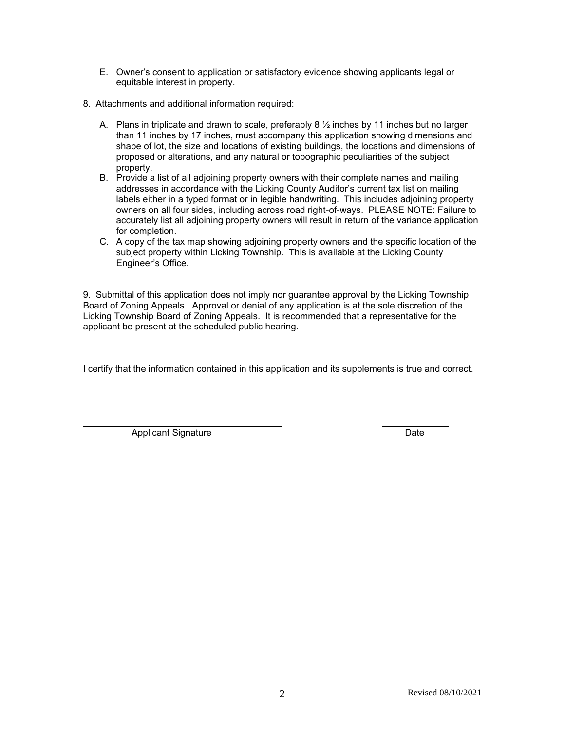- E. Owner's consent to application or satisfactory evidence showing applicants legal or equitable interest in property.
- 8. Attachments and additional information required:
	- A. Plans in triplicate and drawn to scale, preferably 8  $\frac{1}{2}$  inches by 11 inches but no larger than 11 inches by 17 inches, must accompany this application showing dimensions and shape of lot, the size and locations of existing buildings, the locations and dimensions of proposed or alterations, and any natural or topographic peculiarities of the subject property.
	- B. Provide a list of all adjoining property owners with their complete names and mailing addresses in accordance with the Licking County Auditor's current tax list on mailing labels either in a typed format or in legible handwriting. This includes adjoining property owners on all four sides, including across road right-of-ways. PLEASE NOTE: Failure to accurately list all adjoining property owners will result in return of the variance application for completion.
	- C. A copy of the tax map showing adjoining property owners and the specific location of the subject property within Licking Township. This is available at the Licking County Engineer's Office.

9. Submittal of this application does not imply nor guarantee approval by the Licking Township Board of Zoning Appeals. Approval or denial of any application is at the sole discretion of the Licking Township Board of Zoning Appeals. It is recommended that a representative for the applicant be present at the scheduled public hearing.

I certify that the information contained in this application and its supplements is true and correct.

Applicant Signature **Date**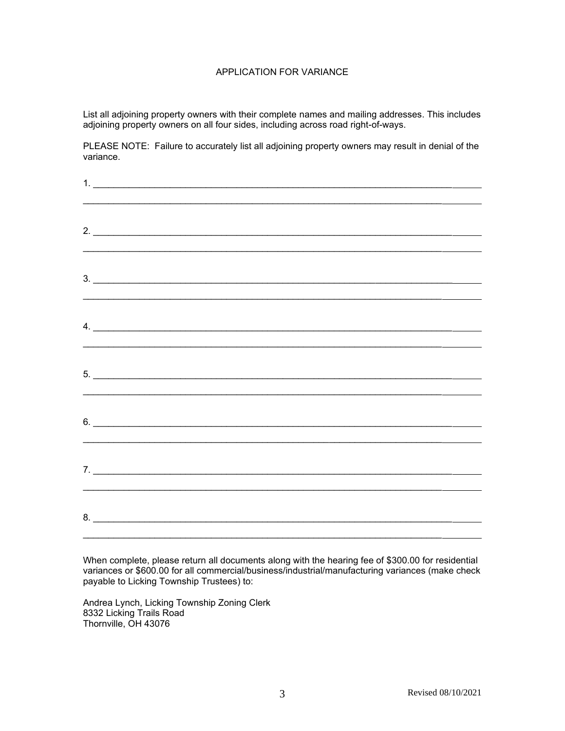## APPLICATION FOR VARIANCE

List all adjoining property owners with their complete names and mailing addresses. This includes adjoining property owners on all four sides, including across road right-of-ways.

PLEASE NOTE: Failure to accurately list all adjoining property owners may result in denial of the variance.

| 2.                            |  |
|-------------------------------|--|
|                               |  |
| $3.$ $\overline{\phantom{a}}$ |  |
|                               |  |
|                               |  |
| $\overline{4}$ .              |  |
|                               |  |
| $5.$ $\overline{\phantom{a}}$ |  |
|                               |  |
| $6.$ $\overline{\phantom{a}}$ |  |
|                               |  |
|                               |  |
|                               |  |
|                               |  |
| 8.                            |  |

When complete, please return all documents along with the hearing fee of \$300.00 for residential variances or \$600.00 for all commercial/business/industrial/manufacturing variances (make check payable to Licking Township Trustees) to:

Andrea Lynch, Licking Township Zoning Clerk 8332 Licking Trails Road Thornville, OH 43076